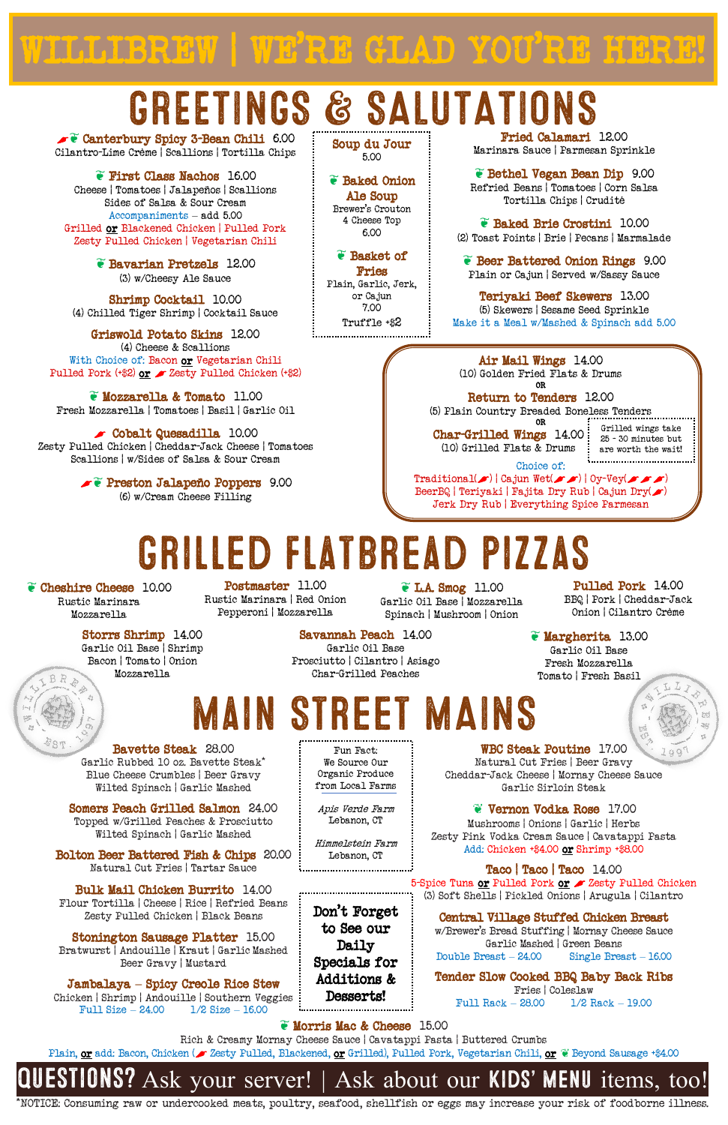### GREETINGS & SALUTATIONS

\*NOTICE: Consuming raw or undercooked meats, poultry, seafood, shellfish or eggs may increase your risk of foodborne illness.

Fun Fact: We Source Our Organic Produce from Local Farms

Apis Verde Farm Lebanon, CT

Himmelstein Farm

Soup du Jour 5.00

❦ Baked Onion Ale Soup Brewer's Crouton 4 Cheese Top 6.00

❦ Basket of Fries Plain, Garlic, Jerk, or Cajun 7.00 Truffle +\$2

Griswold Potato Skins 12.00 (4) Cheese & Scallions With Choice of: Bacon or Vegetarian Chili Pulled Pork  $(+2)$  or  $\angle$  Zesty Pulled Chicken  $(+2)$ 

> Choice of:  $\text{Traditional}(\bullet) | \text{Cajun Wet}(\bullet \bullet) | \text{Oy-Vey}(\bullet \bullet \bullet)$ BeerBQ | Teriyaki | Fajita Dry Rub | Cajun Dry( $\blacktriangleright$ ) Jerk Dry Rub | Everything Spice Parmesan

OR Char-Grilled Wings 14.00 (10) Grilled Flats & Drums are worth the wait!

Grilled wings take 25 - 30 minutes but 

❦ Canterbury Spicy 3-Bean Chili 6.00 Cilantro-Lime Crème | Scallions | Tortilla Chips

❦ First Class Nachos 16.00 Cheese | Tomatoes | Jalapeños | Scallions Sides of Salsa & Sour Cream Accompaniments – add 5.00 Grilled or Blackened Chicken | Pulled Pork Zesty Pulled Chicken | Vegetarian Chili

> Postmaster 11.00 Rustic Marinara | Red Onion Pepperoni | Mozzarella

❦ Bavarian Pretzels 12.00 (3) w/Cheesy Ale Sauce

Shrimp Cocktail 10.00 (4) Chilled Tiger Shrimp | Cocktail Sauce

> Air Mail Wings 14.00 (10) Golden Fried Flats & Drums

OR Return to Tenders 12.00 (5) Plain Country Breaded Boneless Tenders

❦ Mozzarella & Tomato 11.00 Fresh Mozzarella | Tomatoes | Basil | Garlic Oil

Jambalaya **–** Spicy Creole Rice Stew Chicken | Shrimp | Andouille | Southern Veggies Full Size  $- 24.00 1/2$  Size  $- 16.00 1/2$ 

 Cobalt Quesadilla 10.00 Zesty Pulled Chicken | Cheddar-Jack Cheese | Tomatoes Scallions | w/Sides of Salsa & Sour Cream

> ❦ Preston Jalapeño Poppers 9.00 (6) w/Cream Cheese Filling

Fried Calamari 12.00 Marinara Sauce | Parmesan Sprinkle

❦ Bethel Vegan Bean Dip 9.00 Refried Beans | Tomatoes | Corn Salsa Tortilla Chips | Crudité

❦ Baked Brie Crostini 10.00 (2) Toast Points | Brie | Pecans | Marmalade

❦ Beer Battered Onion Rings 9.00 Plain or Cajun | Served w/Sassy Sauce

Teriyaki Beef Skewers 13.00 (5) Skewers | Sesame Seed Sprinkle Make it a Meal w/Mashed & Spinach add 5.00

❦ Cheshire Cheese 10.00 Rustic Marinara Mozzarella

BR

❦ L.A. Smog 11.00 Garlic Oil Base | Mozzarella Spinach | Mushroom | Onion Onion | Cilantro Crème

Lebanon, CT Don't Forget to See our Daily Specials for Additions & Desserts!

Pulled Pork 14.00 BBQ | Pork | Cheddar-Jack

 $L<sub>L</sub>$ 

Storrs Shrimp 14.00 Garlic Oil Base | Shrimp

Bacon | Tomato | Onion Mozzarella

Savannah Peach 14.00 Garlic Oil Base Prosciutto | Cilantro | Asiago Char-Grilled Peaches

❦ Margherita 13.00 Garlic Oil Base

Fresh Mozzarella Tomato | Fresh Basil

Bavette Steak 28.00 Garlic Rubbed 10 oz. Bavette Steak\* Blue Cheese Crumbles | Beer Gravy Wilted Spinach | Garlic Mashed

Somers Peach Grilled Salmon 24.00 Topped w/Grilled Peaches & Prosciutto

Wilted Spinach | Garlic Mashed

Bolton Beer Battered Fish & Chips 20.00 Natural Cut Fries | Tartar Sauce

Bulk Mail Chicken Burrito 14.00 Flour Tortilla | Cheese | Rice | Refried Beans Zesty Pulled Chicken | Black Beans

Stonington Sausage Platter 15.00 Bratwurst | Andouille | Kraut | Garlic Mashed Beer Gravy | Mustard

WBC Steak Poutine 17.00 Natural Cut Fries | Beer Gravy Cheddar-Jack Cheese | Mornay Cheese Sauce Garlic Sirloin Steak

> ❦ Vernon Vodka Rose 17.00 Mushrooms | Onions | Garlic | Herbs

Zesty Pink Vodka Cream Sauce | Cavatappi Pasta Add: Chicken +\$4.00 or Shrimp +\$8.00

Taco | Taco | Taco 14.00 5-Spice Tuna or Pulled Pork or  $\blacktriangleright$  Zesty Pulled Chicken (3) Soft Shells | Pickled Onions | Arugula | Cilantro

Central Village Stuffed Chicken Breast w/Brewer's Bread Stuffing | Mornay Cheese Sauce Garlic Mashed | Green Beans Double Breast – 24.00 Single Breast – 16.00

Tender Slow Cooked BBQ Baby Back Ribs Fries | Coleslaw Full Rack – 28.00 1/2 Rack – 19.00

#### $\bullet$  Morris Mac & Cheese 15.00

Rich & Creamy Mornay Cheese Sauce | Cavatappi Pasta | Buttered Crumbs

Plain, or add: Bacon, Chicken ( $\blacktriangleright$  Zesty Pulled, Blackened, or Grilled), Pulled Pork, Vegetarian Chili, or  $\mathscr C$  Beyond Sausage +\$4.00

Ask your server! | Ask about our **KIDS' MENU** items, too!

# Grilled flatbread pizzas

## Main Street MAINS

WILLIBREW | WE'RE GLAD YOU'RE HERE!